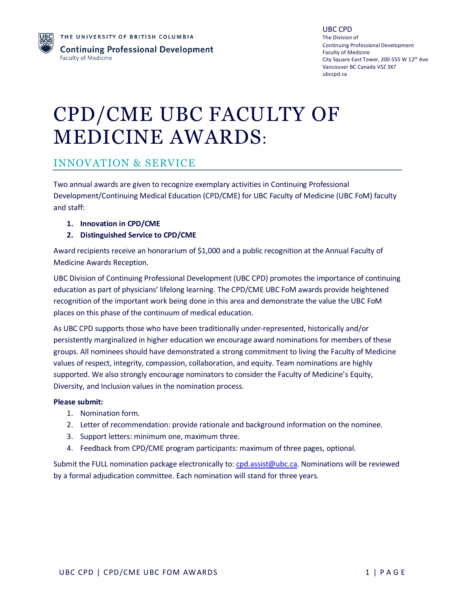

# CPD/CME UBC FACULTY OF MEDICINE AWARDS:

#### INNOVATION & SERVICE

Two annual awards are given to recognize exemplary activities in Continuing Professional Development/Continuing Medical Education (CPD/CME) for UBC Faculty of Medicine (UBC FoM) faculty and staff:

- **1. Innovation in CPD/CME**
- **2. Distinguished Service to CPD/CME**

Award recipients receive an honorarium of \$1,000 and a public recognition at the Annual Faculty of Medicine Awards Reception.

UBC Division of Continuing Professional Development (UBC CPD) promotes the importance of continuing education as part of physicians' lifelong learning. The CPD/CME UBC FoM awards provide heightened recognition of the important work being done in this area and demonstrate the value the UBC FoM places on this phase of the continuum of medical education.

As UBC CPD supports those who have been traditionally under-represented, historically and/or persistently marginalized in higher education we encourage award nominations for members of these groups. All nominees should have demonstrated a strong commitment to living the Faculty of Medicine values of respect, integrity, compassion, collaboration, and equity. Team nominations are highly supported. We also strongly encourage nominators to consider the Faculty of Medicine's Equity, Diversity, and Inclusion values in the nomination process.

#### **Please submit:**

- 1. Nomination form.
- 2. Letter of recommendation: provide rationale and background information on the nominee.
- 3. Support letters: minimum one, maximum three.
- 4. Feedback from CPD/CME program participants: maximum of three pages, optional.

Submit the FULL nomination package electronically to: [cpd.assist@ubc.ca.](mailto:cpd.assist@ubc.ca) Nominations will be reviewed by a formal adjudication committee. Each nomination will stand for three years.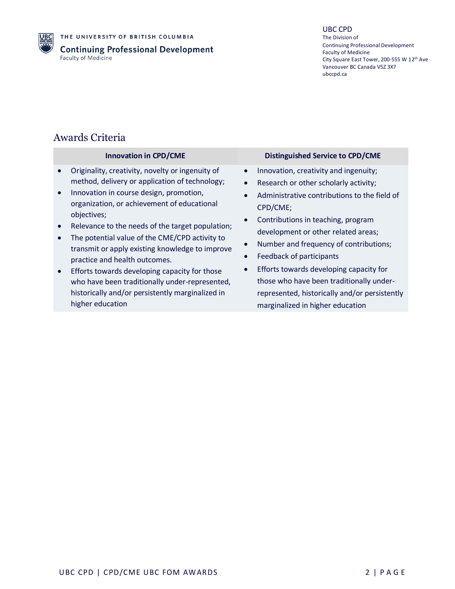

THE UNIVERSITY OF BRITISH COLUMBIA **Continuing Professional Development** Faculty of Medicine

#### UBC CPD

The Division of Continuing Professional Development Faculty of Medicine City Square East Tower, 200-555 W 12<sup>th</sup> Ave Vancouver BC Canada V5Z 3X7 ubccpd.ca

### Awards Criteria

|           | <b>Innovation in CPD/CME</b>                                                                      |           | <b>Distinguished Service to CPD/CME</b>                                   |
|-----------|---------------------------------------------------------------------------------------------------|-----------|---------------------------------------------------------------------------|
|           | Originality, creativity, novelty or ingenuity of                                                  | $\bullet$ | Innovation, creativity and ingenuity;                                     |
|           | method, delivery or application of technology;                                                    | $\bullet$ | Research or other scholarly activity;                                     |
| $\bullet$ | Innovation in course design, promotion,<br>organization, or achievement of educational            |           | Administrative contributions to the field of                              |
|           | objectives;                                                                                       |           | CPD/CME;                                                                  |
|           | Relevance to the needs of the target population;                                                  | $\bullet$ | Contributions in teaching, program<br>development or other related areas; |
|           | The potential value of the CME/CPD activity to<br>transmit or apply existing knowledge to improve | $\bullet$ | Number and frequency of contributions;                                    |
|           | practice and health outcomes.                                                                     | $\bullet$ | Feedback of participants                                                  |
| $\bullet$ | Efforts towards developing capacity for those                                                     | $\bullet$ | Efforts towards developing capacity for                                   |
|           | who have been traditionally under-represented,                                                    |           | those who have been traditionally under-                                  |
|           | historically and/or persistently marginalized in<br>higher education                              |           | represented, historically and/or persistently                             |
|           |                                                                                                   |           | marginalized in higher education                                          |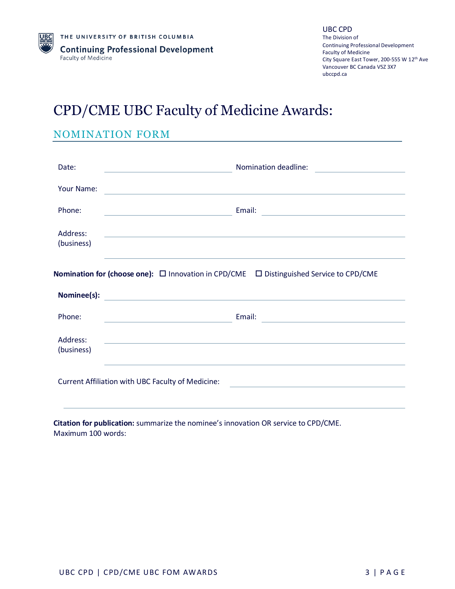### CPD/CME UBC Faculty of Medicine Awards:

#### NOMINATION FORM

| Date:                  | Nomination deadline:                                                                                                                                                                                                           |
|------------------------|--------------------------------------------------------------------------------------------------------------------------------------------------------------------------------------------------------------------------------|
| Your Name:             |                                                                                                                                                                                                                                |
| Phone:                 |                                                                                                                                                                                                                                |
| Address:<br>(business) | <u> 1989 - Johann Stoff, amerikansk politiker (d. 1989)</u>                                                                                                                                                                    |
|                        | <b>Nomination for (choose one):</b> $\Box$ Innovation in CPD/CME $\Box$ Distinguished Service to CPD/CME                                                                                                                       |
| Nominee(s):            | <u> 1989 - Johann Stoff, deutscher Stoffen und der Stoffen und der Stoffen und der Stoffen und der Stoffen und der</u>                                                                                                         |
| Phone:                 | Email: Email: Email: Email: Email: Email: Email: Email: Email: Email: Email: Email: Email: Email: Email: Email: Email: Email: Email: Email: Email: Email: Email: Email: Email: Email: Email: Email: Email: Email: Email: Email |
| Address:<br>(business) | and the state of the state of the state of the state of the state of the state of the state of the state of the                                                                                                                |

**Citation for publication:** summarize the nominee's innovation OR service to CPD/CME. Maximum 100 words: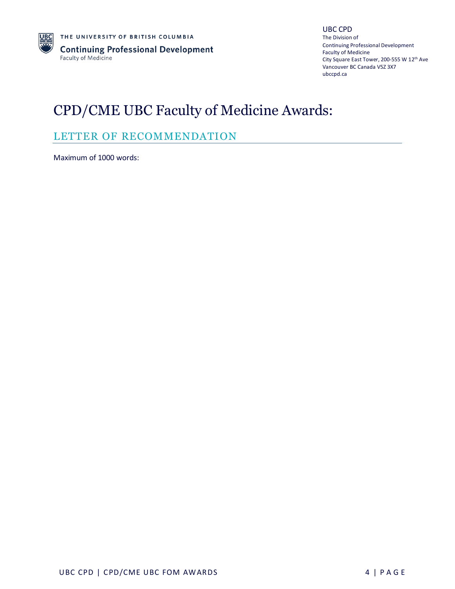

### CPD/CME UBC Faculty of Medicine Awards:

### LETTER OF RECOMMENDATION

Maximum of 1000 words: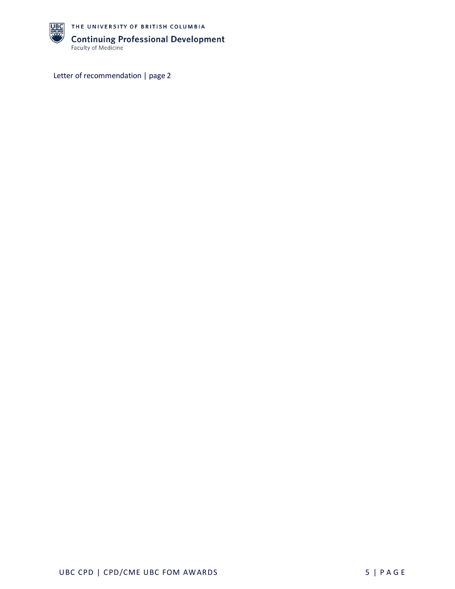

THE UNIVERSITY OF BRITISH COLUMBIA **Continuing Professional Development**<br>Faculty of Medicine

Letter of recommendation | page 2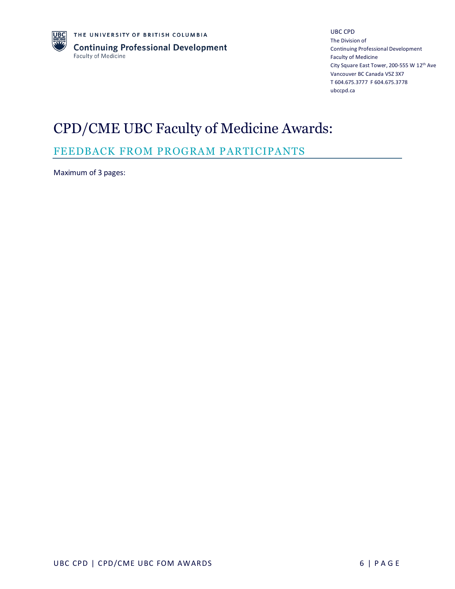UBC CPD The Division of [Continuing Professional Development](https://ubccpd.ca/awards) Faculty of Medicine City Square East Tower, 200-555 W 12<sup>th</sup> Ave Vancouver BC Canada V5Z 3X7 T 604.675.3777 F 604.675.3778 [ubccpd.ca](http://ubccpd.ca/)

# CPD/CME UBC Faculty of Medicine Awards:

### FEEDBACK FROM PROGRAM PARTICIPANTS

Maximum of 3 pages: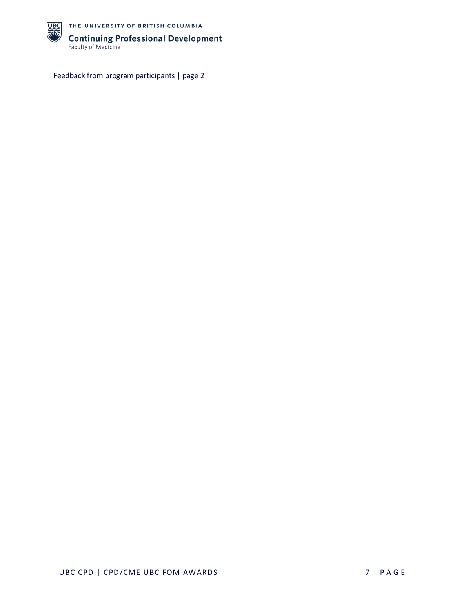

THE UNIVERSITY OF BRITISH COLUMBIA **Continuing Professional Development**<br>Faculty of Medicine

Feedback from program participants | page 2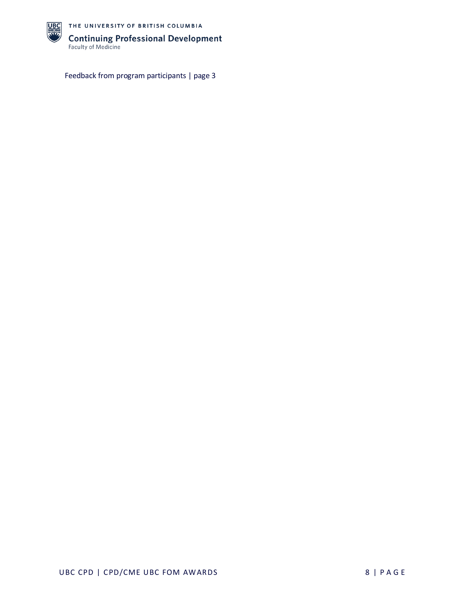

THE UNIVERSITY OF BRITISH COLUMBIA **Continuing Professional Development**<br>Faculty of Medicine

Feedback from program participants | page 3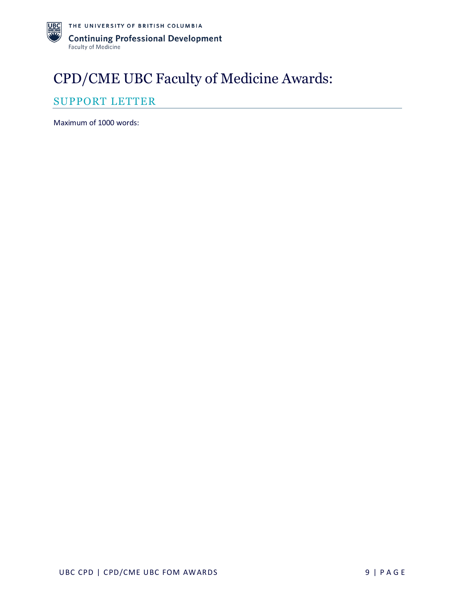# CPD/CME UBC Faculty of Medicine Awards:

### SUPPORT LETTER

Maximum of 1000 words: